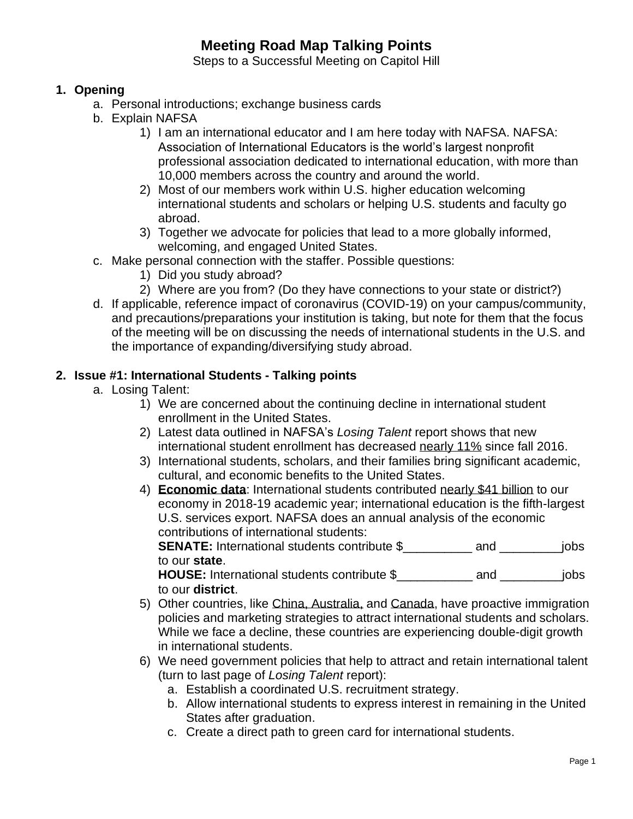# **Meeting Road Map Talking Points**

Steps to a Successful Meeting on Capitol Hill

### **1. Opening**

- a. Personal introductions; exchange business cards
- b. Explain NAFSA
	- 1) I am an international educator and I am here today with NAFSA. NAFSA: Association of International Educators is the world's largest nonprofit professional association dedicated to international education, with more than 10,000 members across the country and around the world.
	- 2) Most of our members work within U.S. higher education welcoming international students and scholars or helping U.S. students and faculty go abroad.
	- 3) Together we advocate for policies that lead to a more globally informed, welcoming, and engaged United States.
- c. Make personal connection with the staffer. Possible questions:
	- 1) Did you study abroad?
	- 2) Where are you from? (Do they have connections to your state or district?)
- d. If applicable, reference impact of coronavirus (COVID-19) on your campus/community, and precautions/preparations your institution is taking, but note for them that the focus of the meeting will be on discussing the needs of international students in the U.S. and the importance of expanding/diversifying study abroad.

### **2. Issue #1: International Students - Talking points**

- a. Losing Talent:
	- 1) We are concerned about the continuing decline in international student enrollment in the United States.
	- 2) Latest data outlined in NAFSA's *Losing Talent* report shows that new international student enrollment has decreased nearly 11% since fall 2016.
	- 3) International students, scholars, and their families bring significant academic, cultural, and economic benefits to the United States.
	- 4) **Economic data**: International students contributed nearly \$41 billion to our economy in 2018-19 academic year; international education is the fifth-largest U.S. services export. NAFSA does an annual analysis of the economic contributions of international students:

**SENATE:** International students contribute \$\_\_\_\_\_\_\_\_\_\_ and \_\_\_\_\_\_\_\_\_jobs to our **state**.

**HOUSE:** International students contribute \$\_\_\_\_\_\_\_\_\_\_\_ and \_\_\_\_\_\_\_\_\_jobs to our **district**.

- 5) Other countries, like China, Australia, and Canada, have proactive immigration policies and marketing strategies to attract international students and scholars. While we face a decline, these countries are experiencing double-digit growth in international students.
- 6) We need government policies that help to attract and retain international talent (turn to last page of *Losing Talent* report):
	- a. Establish a coordinated U.S. recruitment strategy.
	- b. Allow international students to express interest in remaining in the United States after graduation.
	- c. Create a direct path to green card for international students.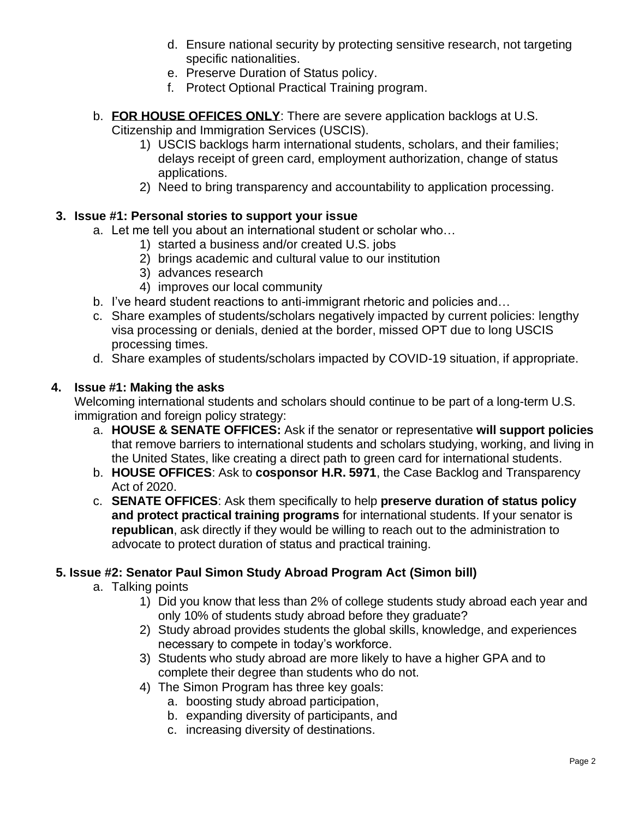- d. Ensure national security by protecting sensitive research, not targeting specific nationalities.
- e. Preserve Duration of Status policy.
- f. Protect Optional Practical Training program.
- b. **FOR HOUSE OFFICES ONLY**: There are severe application backlogs at U.S. Citizenship and Immigration Services (USCIS).
	- 1) USCIS backlogs harm international students, scholars, and their families; delays receipt of green card, employment authorization, change of status applications.
	- 2) Need to bring transparency and accountability to application processing.

### **3. Issue #1: Personal stories to support your issue**

- a. Let me tell you about an international student or scholar who…
	- 1) started a business and/or created U.S. jobs
	- 2) brings academic and cultural value to our institution
	- 3) advances research
	- 4) improves our local community
- b. I've heard student reactions to anti-immigrant rhetoric and policies and…
- c. Share examples of students/scholars negatively impacted by current policies: lengthy visa processing or denials, denied at the border, missed OPT due to long USCIS processing times.
- d. Share examples of students/scholars impacted by COVID-19 situation, if appropriate.

### **4. Issue #1: Making the asks**

Welcoming international students and scholars should continue to be part of a long-term U.S. immigration and foreign policy strategy:

- a. **HOUSE & SENATE OFFICES:** Ask if the senator or representative **will support policies** that remove barriers to international students and scholars studying, working, and living in the United States, like creating a direct path to green card for international students.
- b. **HOUSE OFFICES**: Ask to **cosponsor H.R. 5971**, the Case Backlog and Transparency Act of 2020.
- c. **SENATE OFFICES**: Ask them specifically to help **preserve duration of status policy and protect practical training programs** for international students. If your senator is **republican**, ask directly if they would be willing to reach out to the administration to advocate to protect duration of status and practical training.

#### **5. Issue #2: Senator Paul Simon Study Abroad Program Act (Simon bill)**

- a. Talking points
	- 1) Did you know that less than 2% of college students study abroad each year and only 10% of students study abroad before they graduate?
	- 2) Study abroad provides students the global skills, knowledge, and experiences necessary to compete in today's workforce.
	- 3) Students who study abroad are more likely to have a higher GPA and to complete their degree than students who do not.
	- 4) The Simon Program has three key goals:
		- a. boosting study abroad participation,
		- b. expanding diversity of participants, and
		- c. increasing diversity of destinations.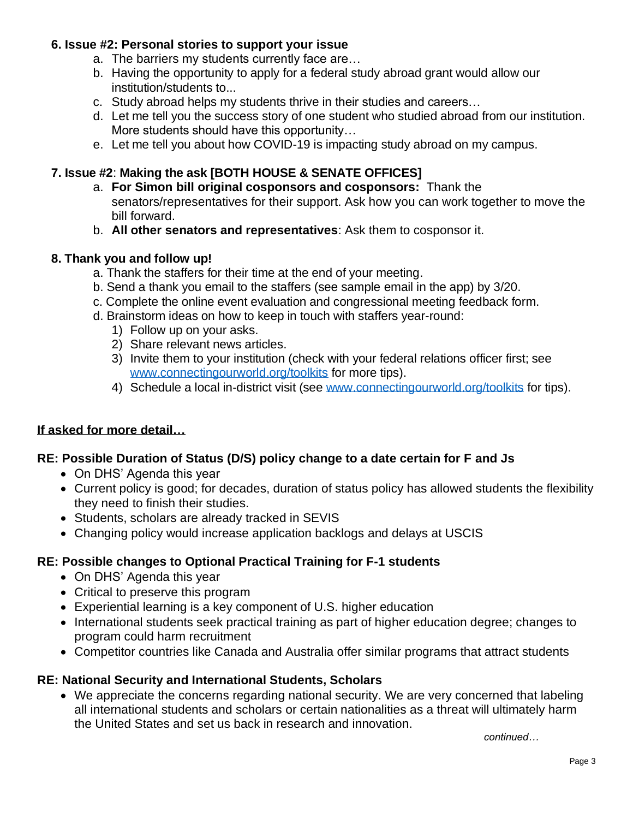### **6. Issue #2: Personal stories to support your issue**

- a. The barriers my students currently face are…
- b. Having the opportunity to apply for a federal study abroad grant would allow our institution/students to...
- c. Study abroad helps my students thrive in their studies and careers…
- d. Let me tell you the success story of one student who studied abroad from our institution. More students should have this opportunity…
- e. Let me tell you about how COVID-19 is impacting study abroad on my campus.

## **7. Issue #2**: **Making the ask [BOTH HOUSE & SENATE OFFICES]**

- a. **For Simon bill original cosponsors and cosponsors:** Thank the senators/representatives for their support. Ask how you can work together to move the bill forward.
- b. **All other senators and representatives**: Ask them to cosponsor it.

### **8. Thank you and follow up!**

- a. Thank the staffers for their time at the end of your meeting.
- b. Send a thank you email to the staffers (see sample email in the app) by 3/20.
- c. Complete the online event evaluation and congressional meeting feedback form.
- d. Brainstorm ideas on how to keep in touch with staffers year-round:
	- 1) Follow up on your asks.
	- 2) Share relevant news articles.
	- 3) Invite them to your institution (check with your federal relations officer first; see [www.connectingourworld.org/toolkits](http://www.connectingourworld.org/toolkits) for more tips).
	- 4) Schedule a local in-district visit (see [www.connectingourworld.org/toolkits](http://www.connectingourworld.org/toolkits) for tips).

### **If asked for more detail…**

### **RE: Possible Duration of Status (D/S) policy change to a date certain for F and Js**

- On DHS' Agenda this year
- Current policy is good; for decades, duration of status policy has allowed students the flexibility they need to finish their studies.
- Students, scholars are already tracked in SEVIS
- Changing policy would increase application backlogs and delays at USCIS

### **RE: Possible changes to Optional Practical Training for F-1 students**

- On DHS' Agenda this year
- Critical to preserve this program
- Experiential learning is a key component of U.S. higher education
- International students seek practical training as part of higher education degree; changes to program could harm recruitment
- Competitor countries like Canada and Australia offer similar programs that attract students

### **RE: National Security and International Students, Scholars**

• We appreciate the concerns regarding national security. We are very concerned that labeling all international students and scholars or certain nationalities as a threat will ultimately harm the United States and set us back in research and innovation.

*continued…*